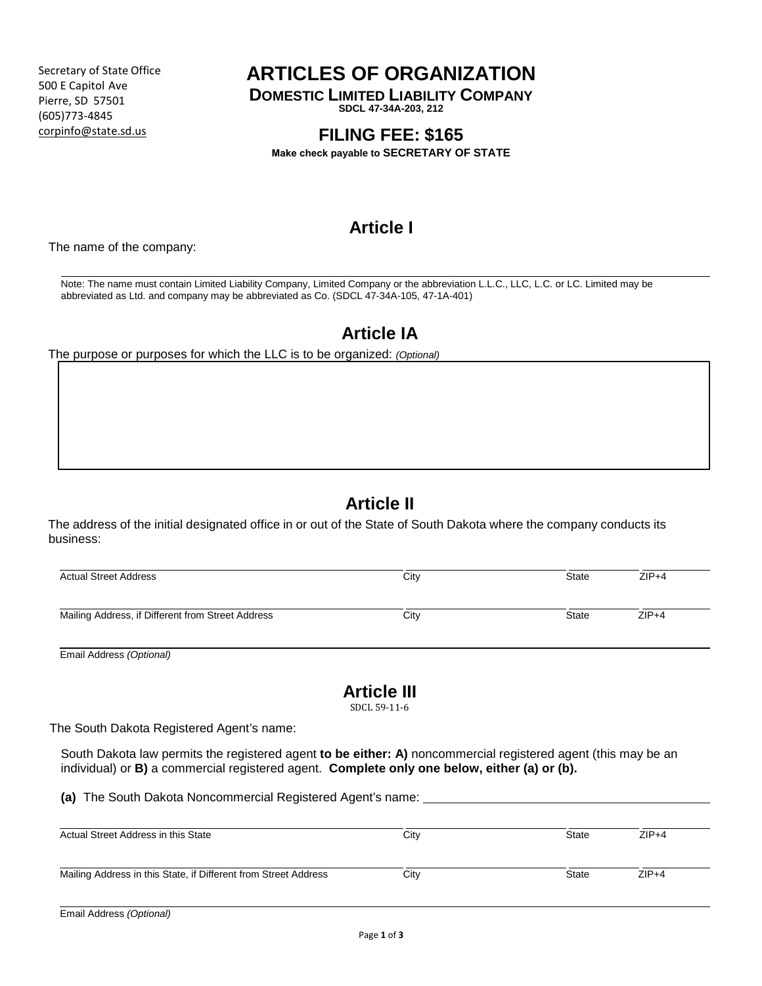Secretary of State Office 500 E Capitol Ave Pierre, SD 57501 (605)773-4845 corpinfo@state.sd.us

## **ARTICLES OF ORGANIZATION**

**DOMESTIC LIMITED LIABILITY COMPANY**

**SDCL 47-34A-203, 212** 

## **FILING FEE: \$165**

**Make check payable to SECRETARY OF STATE**

# **Article I**

The name of the company:

 $\_$  ,  $\_$  ,  $\_$  ,  $\_$  ,  $\_$  ,  $\_$  ,  $\_$  ,  $\_$  ,  $\_$  ,  $\_$  ,  $\_$  ,  $\_$  ,  $\_$  ,  $\_$  ,  $\_$  ,  $\_$  ,  $\_$  ,  $\_$  ,  $\_$  ,  $\_$  ,  $\_$  ,  $\_$  ,  $\_$  ,  $\_$  ,  $\_$  ,  $\_$  ,  $\_$  ,  $\_$  ,  $\_$  ,  $\_$  ,  $\_$  ,  $\_$  ,  $\_$  ,  $\_$  ,  $\_$  ,  $\_$  ,  $\_$  , Note: The name must contain Limited Liability Company, Limited Company or the abbreviation L.L.C., LLC, L.C. or LC. Limited may be abbreviated as Ltd. and company may be abbreviated as Co. (SDCL 47-34A-105, 47-1A-401)

#### **Article IA**

The purpose or purposes for which the LLC is to be organized: *(Optional)*

### **Article II**

The address of the initial designated office in or out of the State of South Dakota where the company conducts its business:

| <b>Actual Street Address</b>                      | City | <b>State</b> | $ZIP+4$ |
|---------------------------------------------------|------|--------------|---------|
| Mailing Address, if Different from Street Address | City | <b>State</b> | $ZIP+4$ |

Email Address *(Optional)*

### **Article III**

SDCL 59-11-6

The South Dakota Registered Agent's name:

South Dakota law permits the registered agent **to be either: A)** noncommercial registered agent (this may be an individual) or **B)** a commercial registered agent. **Complete only one below, either (a) or (b).**

**(a)** The South Dakota Noncommercial Registered Agent's name:

| Actual Street Address in this State                             | City | <b>State</b> | $ZIP+4$ |
|-----------------------------------------------------------------|------|--------------|---------|
| Mailing Address in this State, if Different from Street Address | City | <b>State</b> | $ZIP+4$ |
| .<br>.                                                          |      |              |         |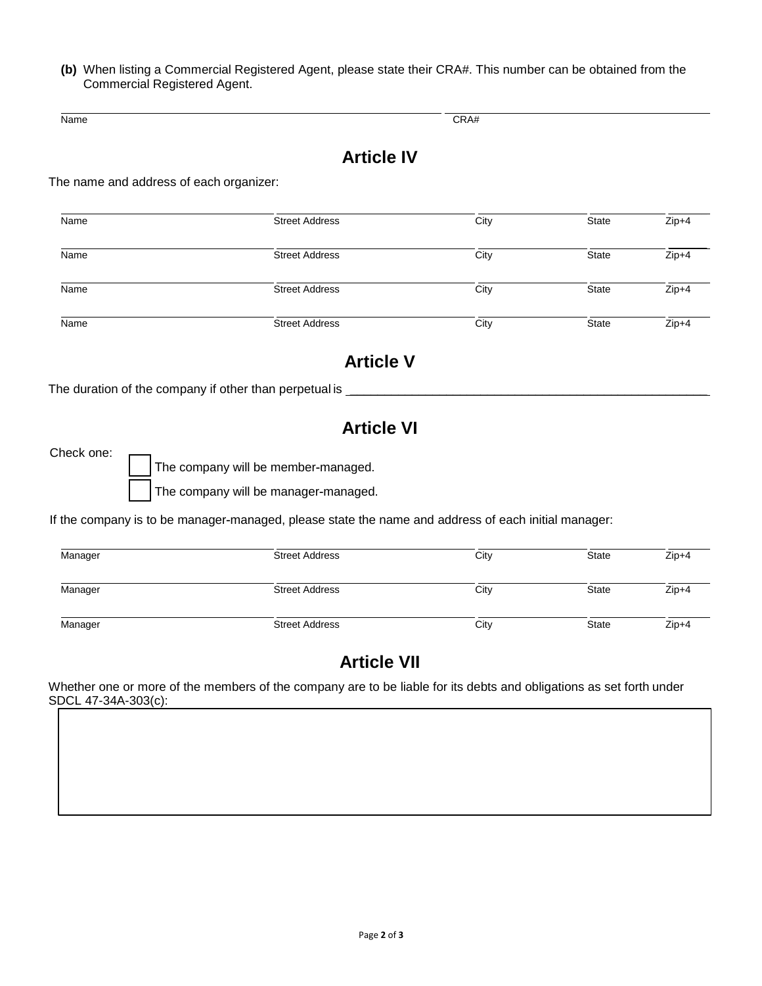**(b)** When listing a Commercial Registered Agent, please state their CRA#. This number can be obtained from the Commercial Registered Agent.

Name CRA#

## **Article IV**

The name and address of each organizer:

| Name | <b>Street Address</b> | City | <b>State</b> | $Zip+4$ |
|------|-----------------------|------|--------------|---------|
| Name | <b>Street Address</b> | City | <b>State</b> | $Zip+4$ |
| Name | <b>Street Address</b> | City | <b>State</b> | $Zip+4$ |
| Name | <b>Street Address</b> | City | State        | $Zip+4$ |

### **Article V**

The duration of the company if other than perpetual is \_

### **Article VI**

Check one:

The company will be member-managed.

The company will be manager-managed.

If the company is to be manager-managed, please state the name and address of each initial manager:

| Manager | <b>Street Address</b> | City | State | $Zip+4$ |
|---------|-----------------------|------|-------|---------|
| Manager | <b>Street Address</b> | City | State | $Zip+4$ |
| Manager | <b>Street Address</b> | City | State | $Zip+4$ |

### **Article VII**

Whether one or more of the members of the company are to be liable for its debts and obligations as set forth under SDCL 47-34A-303(c):